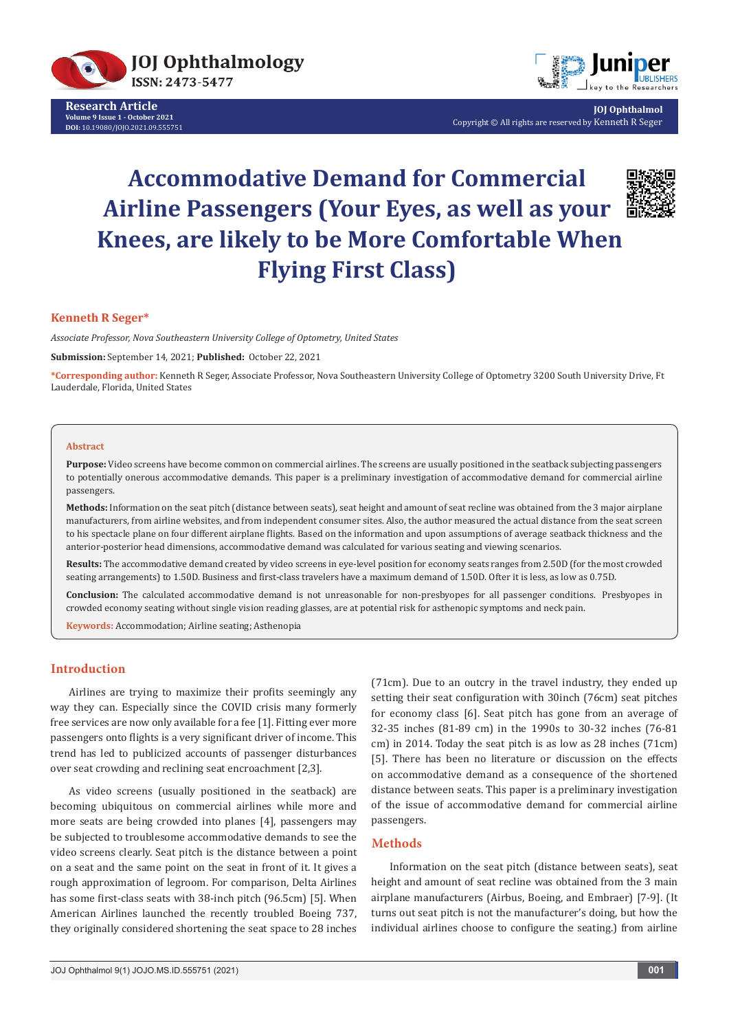

**Research Article Volume 9 Issue 1 - October 2021 DOI:** [10.19080/JOJO.2021.09.55575](http://dx.doi.org/10.19080/JOJO.2021.09.555751)1



**JOJ Ophthalmol** Copyright © All rights are reserved by Kenneth R Seger

# **Accommodative Demand for Commercial Airline Passengers (Your Eyes, as well as your Knees, are likely to be More Comfortable When Flying First Class)**



## **Kenneth R Seger\***

*Associate Professor, Nova Southeastern University College of Optometry, United States*

**Submission:** September 14, 2021; **Published:** October 22, 2021

**\*Corresponding author:** Kenneth R Seger, Associate Professor, Nova Southeastern University College of Optometry 3200 South University Drive, Ft Lauderdale, Florida, United States

#### **Abstract**

**Purpose:** Video screens have become common on commercial airlines. The screens are usually positioned in the seatback subjecting passengers to potentially onerous accommodative demands. This paper is a preliminary investigation of accommodative demand for commercial airline passengers.

**Methods:** Information on the seat pitch (distance between seats), seat height and amount of seat recline was obtained from the 3 major airplane manufacturers, from airline websites, and from independent consumer sites. Also, the author measured the actual distance from the seat screen to his spectacle plane on four different airplane flights. Based on the information and upon assumptions of average seatback thickness and the anterior-posterior head dimensions, accommodative demand was calculated for various seating and viewing scenarios.

**Results:** The accommodative demand created by video screens in eye-level position for economy seats ranges from 2.50D (for the most crowded seating arrangements) to 1.50D. Business and first-class travelers have a maximum demand of 1.50D. Ofter it is less, as low as 0.75D.

**Conclusion:** The calculated accommodative demand is not unreasonable for non-presbyopes for all passenger conditions.  Presbyopes in crowded economy seating without single vision reading glasses, are at potential risk for asthenopic symptoms and neck pain.

**Keywords:** Accommodation; Airline seating; Asthenopia

## **Introduction**

Airlines are trying to maximize their profits seemingly any way they can. Especially since the COVID crisis many formerly free services are now only available for a fee [1]. Fitting ever more passengers onto flights is a very significant driver of income. This trend has led to publicized accounts of passenger disturbances over seat crowding and reclining seat encroachment [2,3].

As video screens (usually positioned in the seatback) are becoming ubiquitous on commercial airlines while more and more seats are being crowded into planes [4], passengers may be subjected to troublesome accommodative demands to see the video screens clearly. Seat pitch is the distance between a point on a seat and the same point on the seat in front of it. It gives a rough approximation of legroom. For comparison, Delta Airlines has some first-class seats with 38-inch pitch (96.5cm) [5]. When American Airlines launched the recently troubled Boeing 737, they originally considered shortening the seat space to 28 inches

(71cm). Due to an outcry in the travel industry, they ended up setting their seat configuration with 30inch (76cm) seat pitches for economy class [6]. Seat pitch has gone from an average of 32-35 inches (81-89 cm) in the 1990s to 30-32 inches (76-81 cm) in 2014. Today the seat pitch is as low as 28 inches (71cm) [5]. There has been no literature or discussion on the effects on accommodative demand as a consequence of the shortened distance between seats. This paper is a preliminary investigation of the issue of accommodative demand for commercial airline passengers.

## **Methods**

Information on the seat pitch (distance between seats), seat height and amount of seat recline was obtained from the 3 main airplane manufacturers (Airbus, Boeing, and Embraer) [7-9]. (It turns out seat pitch is not the manufacturer's doing, but how the individual airlines choose to configure the seating.) from airline